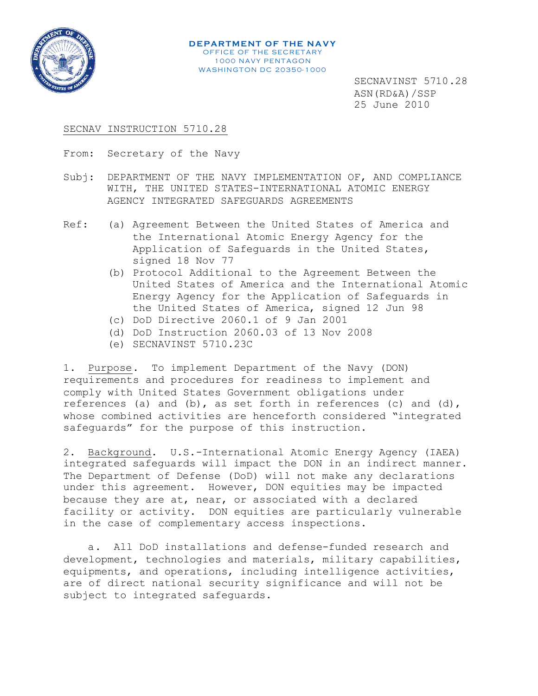

**DEPARTMENT OF THE NAVY** OFFICE OF THE SECRETARY 1000 NAVY PENTAGON **WASHINGTON DC 20350-1000** 

> SECNAVINST 5710.28 ASN(RD&A)/SSP 25 June 2010

## SECNAV INSTRUCTION 5710.28

From: Secretary of the Navy

- Subj: DEPARTMENT OF THE NAVY IMPLEMENTATION OF, AND COMPLIANCE WITH, THE UNITED STATES-INTERNATIONAL ATOMIC ENERGY AGENCY INTEGRATED SAFEGUARDS AGREEMENTS
- Ref: (a) Agreement Between the United States of America and the International Atomic Energy Agency for the Application of Safeguards in the United States, signed 18 Nov 77
	- (b) Protocol Additional to the Agreement Between the United States of America and the International Atomic Energy Agency for the Application of Safeguards in the United States of America, signed 12 Jun 98
	- (c) DoD Directive 2060.1 of 9 Jan 2001
	- (d) DoD Instruction 2060.03 of 13 Nov 2008
	- (e) SECNAVINST 5710.23C

1. Purpose. To implement Department of the Navy (DON) requirements and procedures for readiness to implement and comply with United States Government obligations under references (a) and (b), as set forth in references (c) and (d), whose combined activities are henceforth considered "integrated safeguards" for the purpose of this instruction.

2. Background. U.S.-International Atomic Energy Agency (IAEA) integrated safeguards will impact the DON in an indirect manner. The Department of Defense (DoD) will not make any declarations under this agreement. However, DON equities may be impacted because they are at, near, or associated with a declared facility or activity. DON equities are particularly vulnerable in the case of complementary access inspections.

a. All DoD installations and defense-funded research and development, technologies and materials, military capabilities, equipments, and operations, including intelligence activities, are of direct national security significance and will not be subject to integrated safeguards.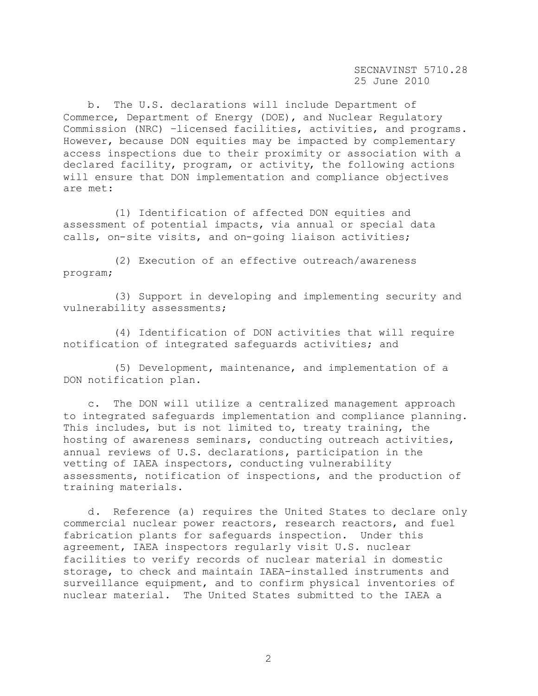b. The U.S. declarations will include Department of Commerce, Department of Energy (DOE), and Nuclear Regulatory Commission (NRC) –licensed facilities, activities, and programs. However, because DON equities may be impacted by complementary access inspections due to their proximity or association with a declared facility, program, or activity, the following actions will ensure that DON implementation and compliance objectives are met:

(1) Identification of affected DON equities and assessment of potential impacts, via annual or special data calls, on-site visits, and on-going liaison activities;

(2) Execution of an effective outreach/awareness program;

(3) Support in developing and implementing security and vulnerability assessments;

(4) Identification of DON activities that will require notification of integrated safeguards activities; and

(5) Development, maintenance, and implementation of a DON notification plan.

c. The DON will utilize a centralized management approach to integrated safeguards implementation and compliance planning. This includes, but is not limited to, treaty training, the hosting of awareness seminars, conducting outreach activities, annual reviews of U.S. declarations, participation in the vetting of IAEA inspectors, conducting vulnerability assessments, notification of inspections, and the production of training materials.

d. Reference (a) requires the United States to declare only commercial nuclear power reactors, research reactors, and fuel fabrication plants for safeguards inspection. Under this agreement, IAEA inspectors regularly visit U.S. nuclear facilities to verify records of nuclear material in domestic storage, to check and maintain IAEA-installed instruments and surveillance equipment, and to confirm physical inventories of nuclear material. The United States submitted to the IAEA a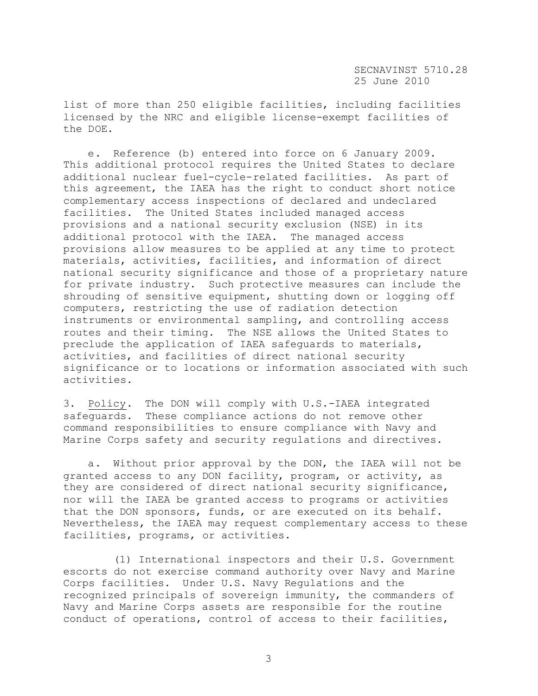list of more than 250 eligible facilities, including facilities licensed by the NRC and eligible license-exempt facilities of the DOE.

e. Reference (b) entered into force on 6 January 2009. This additional protocol requires the United States to declare additional nuclear fuel-cycle-related facilities. As part of this agreement, the IAEA has the right to conduct short notice complementary access inspections of declared and undeclared facilities. The United States included managed access provisions and a national security exclusion (NSE) in its additional protocol with the IAEA. The managed access provisions allow measures to be applied at any time to protect materials, activities, facilities, and information of direct national security significance and those of a proprietary nature for private industry. Such protective measures can include the shrouding of sensitive equipment, shutting down or logging off computers, restricting the use of radiation detection instruments or environmental sampling, and controlling access routes and their timing. The NSE allows the United States to preclude the application of IAEA safeguards to materials, activities, and facilities of direct national security significance or to locations or information associated with such activities.

3. Policy. The DON will comply with U.S.-IAEA integrated safeguards. These compliance actions do not remove other command responsibilities to ensure compliance with Navy and Marine Corps safety and security regulations and directives.

a. Without prior approval by the DON, the IAEA will not be granted access to any DON facility, program, or activity, as they are considered of direct national security significance, nor will the IAEA be granted access to programs or activities that the DON sponsors, funds, or are executed on its behalf. Nevertheless, the IAEA may request complementary access to these facilities, programs, or activities.

(1) International inspectors and their U.S. Government escorts do not exercise command authority over Navy and Marine Corps facilities. Under U.S. Navy Regulations and the recognized principals of sovereign immunity, the commanders of Navy and Marine Corps assets are responsible for the routine conduct of operations, control of access to their facilities,

3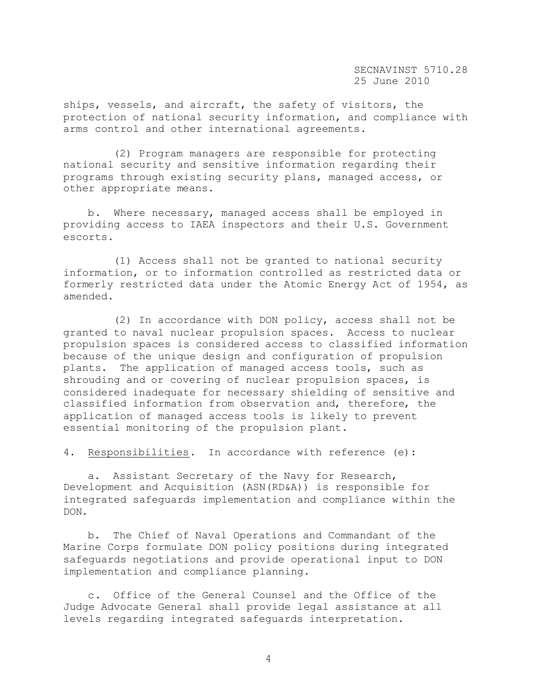ships, vessels, and aircraft, the safety of visitors, the protection of national security information, and compliance with arms control and other international agreements.

(2) Program managers are responsible for protecting national security and sensitive information regarding their programs through existing security plans, managed access, or other appropriate means.

b. Where necessary, managed access shall be employed in providing access to IAEA inspectors and their U.S. Government escorts.

(1) Access shall not be granted to national security information, or to information controlled as restricted data or formerly restricted data under the Atomic Energy Act of 1954, as amended.

(2) In accordance with DON policy, access shall not be granted to naval nuclear propulsion spaces. Access to nuclear propulsion spaces is considered access to classified information because of the unique design and configuration of propulsion plants. The application of managed access tools, such as shrouding and or covering of nuclear propulsion spaces, is considered inadequate for necessary shielding of sensitive and classified information from observation and, therefore, the application of managed access tools is likely to prevent essential monitoring of the propulsion plant.

4. Responsibilities. In accordance with reference (e):

a. Assistant Secretary of the Navy for Research, Development and Acquisition (ASN(RD&A)) is responsible for integrated safeguards implementation and compliance within the DON.

b. The Chief of Naval Operations and Commandant of the Marine Corps formulate DON policy positions during integrated safeguards negotiations and provide operational input to DON implementation and compliance planning.

c. Office of the General Counsel and the Office of the Judge Advocate General shall provide legal assistance at all levels regarding integrated safeguards interpretation.

4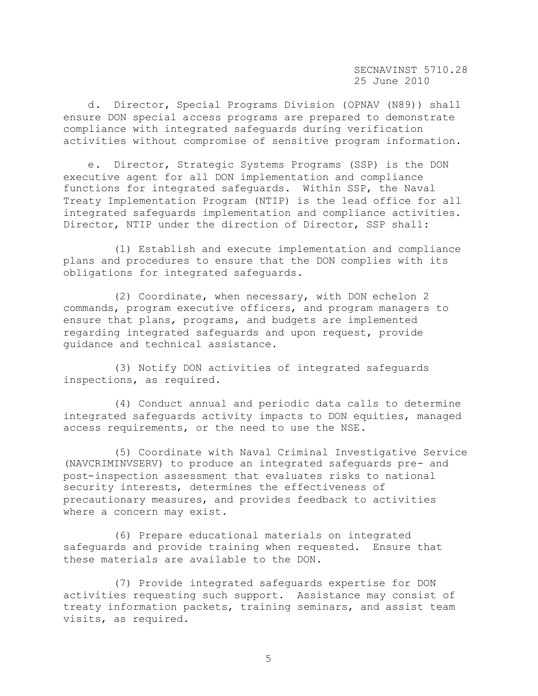d. Director, Special Programs Division (OPNAV (N89)) shall ensure DON special access programs are prepared to demonstrate compliance with integrated safeguards during verification activities without compromise of sensitive program information.

e. Director, Strategic Systems Programs (SSP) is the DON executive agent for all DON implementation and compliance functions for integrated safeguards. Within SSP, the Naval Treaty Implementation Program (NTIP) is the lead office for all integrated safeguards implementation and compliance activities. Director, NTIP under the direction of Director, SSP shall:

(1) Establish and execute implementation and compliance plans and procedures to ensure that the DON complies with its obligations for integrated safeguards.

(2) Coordinate, when necessary, with DON echelon 2 commands, program executive officers, and program managers to ensure that plans, programs, and budgets are implemented regarding integrated safeguards and upon request, provide guidance and technical assistance.

(3) Notify DON activities of integrated safeguards inspections, as required.

(4) Conduct annual and periodic data calls to determine integrated safeguards activity impacts to DON equities, managed access requirements, or the need to use the NSE.

(5) Coordinate with Naval Criminal Investigative Service (NAVCRIMINVSERV) to produce an integrated safeguards pre- and post-inspection assessment that evaluates risks to national security interests, determines the effectiveness of precautionary measures, and provides feedback to activities where a concern may exist.

(6) Prepare educational materials on integrated safeguards and provide training when requested. Ensure that these materials are available to the DON.

(7) Provide integrated safeguards expertise for DON activities requesting such support. Assistance may consist of treaty information packets, training seminars, and assist team visits, as required.

5